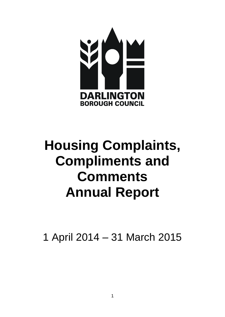

# **Housing Complaints, Compliments and Comments Annual Report**

1 April 2014 – 31 March 2015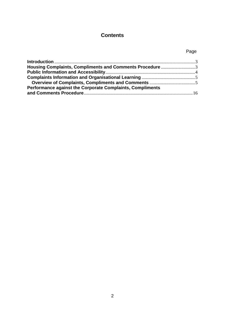# **Contents**

# Page

| Housing Complaints, Compliments and Comments Procedure 3  |  |
|-----------------------------------------------------------|--|
|                                                           |  |
|                                                           |  |
|                                                           |  |
| Performance against the Corporate Complaints, Compliments |  |
|                                                           |  |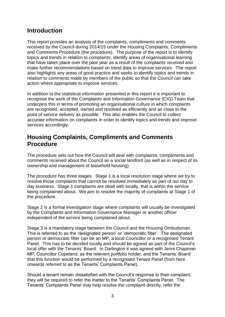# <span id="page-2-0"></span>**Introduction**

This report provides an analysis of the complaints, compliments and comments received by the Council during 2014/15 under the Housing Complaints, Compliments and Comments Procedure (the procedure). The purpose of the report is to identify topics and trends in relation to complaints; identify areas of organisational learning that have taken place over the past year as a result of the complaints received and make further recommendations based on trend data to improve services. The report also highlights any areas of good practice and seeks to identify topics and trends in relation to comments made by members of the public so that the Council can take action where appropriate to improve services.

In addition to the statistical information presented in this report it is important to recognise the work of the Complaints and Information Governance (CIG) Team that underpins this in terms of promoting an organisational culture in which complaints are recognised, accepted, owned and resolved as efficiently and as close to the point of service delivery as possible. This also enables the Council to collect accurate information on complaints in order to identify topics and trends and improve services accordingly.

# <span id="page-2-1"></span>**Housing Complaints, Compliments and Comments Procedure**

The procedure sets out how the Council will deal with complaints, compliments and comments received about the Council as a social landlord (as well as in respect of its ownership and management of leasehold housing).

The procedure has three stages. Stage 1 is a local resolution stage where we try to resolve those complaints that cannot be resolved immediately as part of our day to day business. Stage 1 complaints are dealt with locally, that is within the service being complained about. We aim to resolve the majority of complaints at Stage 1 of the procedure.

Stage 2 is a formal investigation stage where complaints will usually be investigated by the Complaints and Information Governance Manager or another officer independent of the service being complained about.

Stage 3 is a mandatory stage between the Council and the Housing Ombudsman. This is referred to as the 'designated person' or 'democratic filter'. The designated person or democratic filter can be an MP, a local Councillor or a recognised Tenant Panel. This has to be decided locally and should be agreed as part of the Council's local offer with the Tenants' Board. In Darlington it was agreed with Jenni Chapman MP, Councillor Copeland, as the relevant portfolio holder, and the Tenants' Board that this function would be performed by a recognised Tenant Panel (from here onwards referred to as the Tenants' Complaints Panel).

Should a tenant remain dissatisfied with the Council's response to their complaint, they will be required to refer the matter to the Tenants' Complaints Panel. The Tenants' Complaints Panel may help resolve the complaint directly, refer the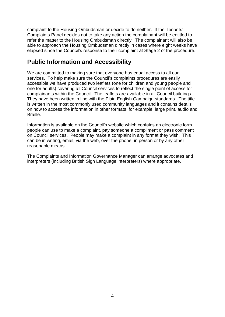complaint to the Housing Ombudsman or decide to do neither. If the Tenants' Complaints Panel decides not to take any action the complainant will be entitled to refer the matter to the Housing Ombudsman directly. The complainant will also be able to approach the Housing Ombudsman directly in cases where eight weeks have elapsed since the Council's response to their complaint at Stage 2 of the procedure.

# <span id="page-3-0"></span>**Public Information and Accessibility**

We are committed to making sure that everyone has equal access to all our services. To help make sure the Council's complaints procedures are easily accessible we have produced two leaflets (one for children and young people and one for adults) covering all Council services to reflect the single point of access for complainants within the Council. The leaflets are available in all Council buildings. They have been written in line with the Plain English Campaign standards. The title is written in the most commonly used community languages and it contains details on how to access the information in other formats, for example, large print, audio and **Braille** 

Information is available on the Council's website which contains an electronic form people can use to make a complaint, pay someone a compliment or pass comment on Council services. People may make a complaint in any format they wish. This can be in writing, email, via the web, over the phone, in person or by any other reasonable means.

The Complaints and Information Governance Manager can arrange advocates and interpreters (including British Sign Language interpreters) where appropriate.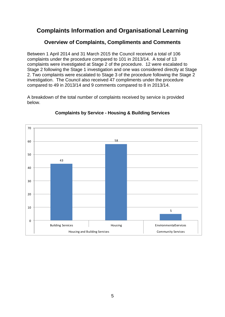# <span id="page-4-0"></span>**Complaints Information and Organisational Learning**

# **Overview of Complaints, Compliments and Comments**

<span id="page-4-1"></span>Between 1 April 2014 and 31 March 2015 the Council received a total of 106 complaints under the procedure compared to 101 in 2013/14. A total of 13 complaints were investigated at Stage 2 of the procedure. 12 were escalated to Stage 2 following the Stage 1 investigation and one was considered directly at Stage 2. Two complaints were escalated to Stage 3 of the procedure following the Stage 2 investigation. The Council also received 47 compliments under the procedure compared to 49 in 2013/14 and 9 comments compared to 8 in 2013/14.

A breakdown of the total number of complaints received by service is provided below.



#### **Complaints by Service - Housing & Building Services**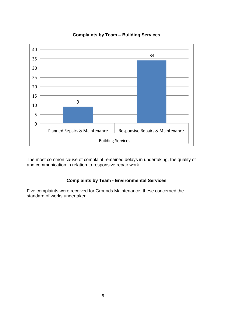

#### **Complaints by Team – Building Services**

 The most common cause of complaint remained delays in undertaking, the quality of and communication in relation to responsive repair work.

#### **Complaints by Team - Environmental Services**

Five complaints were received for Grounds Maintenance; these concerned the standard of works undertaken.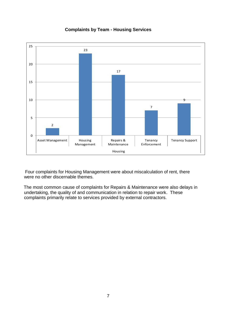

#### **Complaints by Team - Housing Services**

 Four complaints for Housing Management were about miscalculation of rent, there were no other discernable themes.

 The most common cause of complaints for Repairs & Maintenance were also delays in undertaking, the quality of and communication in relation to repair work. These complaints primarily relate to services provided by external contractors.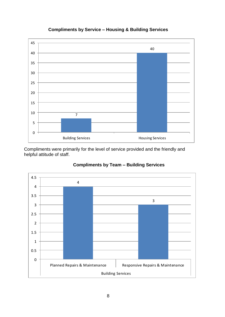

### **Compliments by Service – Housing & Building Services**

Compliments were primarily for the level of service provided and the friendly and helpful attitude of staff.



## **Compliments by Team – Building Services**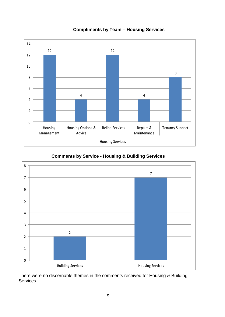

## **Compliments by Team – Housing Services**

**Comments by Service - Housing & Building Services**



There were no discernable themes in the comments received for Housing & Building Services.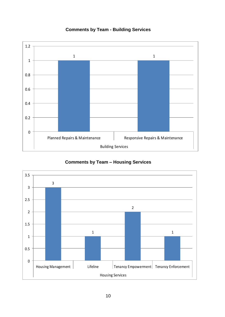

# **Comments by Team - Building Services**

## **Comments by Team – Housing Services**

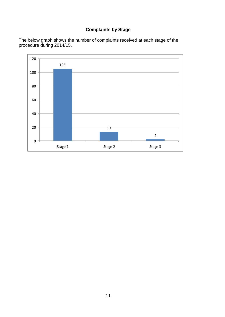# **Complaints by Stage**

The below graph shows the number of complaints received at each stage of the procedure during 2014/15.

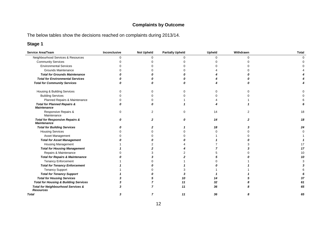# **Complaints by Outcome**

The below tables show the decisions reached on complaints during 2013/14.

# **Stage 1**

| Service Area/Team                                               | Inconclusive | <b>Not Upheld</b> | <b>Partially Upheld</b> | Upheld   | Withdrawn | <b>Total</b> |
|-----------------------------------------------------------------|--------------|-------------------|-------------------------|----------|-----------|--------------|
| Neighbourhood Services & Resources                              | 0            | 0                 |                         | $\Omega$ | $\Omega$  |              |
| <b>Community Services</b>                                       |              |                   |                         |          |           |              |
| <b>Environmental Services</b>                                   |              |                   |                         |          |           |              |
| <b>Grounds Maintenance</b>                                      |              |                   |                         |          |           |              |
| <b>Total for Grounds Maintenance</b>                            |              |                   |                         |          |           |              |
| <b>Total for Environmental Services</b>                         |              |                   |                         |          |           |              |
| <b>Total for Community Services</b>                             | n            |                   |                         |          |           |              |
| Housing & Building Services                                     |              | U                 |                         |          |           |              |
| <b>Building Services</b>                                        |              |                   |                         |          |           |              |
| Planned Repairs & Maintenance                                   |              |                   |                         |          |           |              |
| <b>Total for Planned Repairs &amp;</b><br><b>Maintenance</b>    |              |                   |                         |          |           |              |
| Responsive Repairs &<br>Maintenance                             | U            | 2                 | ∩                       | 14       | 2         | 18           |
| <b>Total for Responsive Repairs &amp;</b><br><b>Maintenance</b> | Ω            | 2                 |                         | 14       | 2         | 18           |
| <b>Total for Building Services</b>                              |              |                   |                         | 18       |           | 24           |
| <b>Housing Services</b>                                         |              |                   |                         |          |           |              |
| Asset Management                                                |              |                   |                         |          |           |              |
| <b>Total for Asset Management</b>                               |              |                   |                         |          |           |              |
| <b>Housing Management</b>                                       |              |                   |                         |          |           | 17           |
| <b>Total for Housing Management</b>                             |              |                   |                         |          |           | 17           |
| Repairs & Maintenance                                           |              |                   |                         |          |           | 10           |
| <b>Total for Repairs &amp; Maintenance</b>                      |              |                   |                         |          |           | 10           |
| <b>Tenancy Enforcement</b>                                      |              |                   |                         |          |           |              |
| <b>Total for Tenancy Enforcement</b>                            |              |                   |                         |          |           |              |
| <b>Tenancy Support</b>                                          |              |                   |                         |          |           |              |
| <b>Total for Tenancy Support</b>                                |              |                   |                         |          |           |              |
| <b>Total for Housing Services</b>                               |              |                   | 10                      | 14       |           | 37           |
| <b>Total for Housing &amp; Building Services</b>                |              |                   | 11                      | 32       |           | 61           |
| Total for Neighbourhood Services &<br><b>Resources</b>          |              |                   | 11                      | 36       |           | 65           |
| <b>Total</b>                                                    | 3            | 7                 | 11                      | 36       |           | 65           |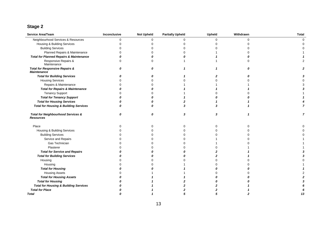# **Stage 2**

| Service Area/Team                                                 | Inconclusive | <b>Not Upheld</b> | <b>Partially Upheld</b> | <b>Upheld</b> | Withdrawn | <b>Total</b> |
|-------------------------------------------------------------------|--------------|-------------------|-------------------------|---------------|-----------|--------------|
| Neighbourhood Services & Resources                                | n            | 0                 |                         | ∩             | 0         |              |
| Housing & Building Services                                       |              |                   |                         |               |           |              |
| <b>Building Services</b>                                          |              |                   |                         |               |           |              |
| Planned Repairs & Maintenance                                     |              |                   |                         |               |           |              |
| <b>Total for Planned Repairs &amp; Maintenance</b>                |              |                   |                         |               |           |              |
| Responsive Repairs &<br>Maintenance                               | 0            | U                 |                         |               |           |              |
| <b>Total for Responsive Repairs &amp;</b><br><b>Maintenance</b>   | 0            | 0                 |                         |               | Ω         |              |
| <b>Total for Building Services</b>                                |              |                   |                         |               |           |              |
| <b>Housing Services</b>                                           |              |                   |                         |               |           |              |
| Repairs & Maintenance                                             |              |                   |                         |               |           |              |
| <b>Total for Repairs &amp; Maintenance</b>                        |              |                   |                         |               |           |              |
| <b>Tenancy Support</b>                                            |              |                   |                         |               |           |              |
| <b>Total for Tenancy Support</b>                                  |              |                   |                         |               |           |              |
| <b>Total for Housing Services</b>                                 |              |                   |                         |               |           |              |
| <b>Total for Housing &amp; Building Services</b>                  | Ω            |                   |                         |               |           |              |
| <b>Total for Neighbourhood Services &amp;</b><br><b>Resources</b> | 0            | 0                 | 3                       | 3             |           | 7            |
| Place                                                             |              | O                 |                         |               | $\Omega$  |              |
| <b>Housing &amp; Building Services</b>                            |              |                   |                         |               |           |              |
| <b>Building Services</b>                                          |              |                   |                         |               |           |              |
| Service and Repairs                                               |              |                   |                         |               |           |              |
| Gas Technician                                                    |              |                   |                         |               |           |              |
| Plasterer                                                         |              |                   |                         |               |           |              |
| <b>Total for Service and Repairs</b>                              |              |                   |                         |               |           |              |
| <b>Total for Building Services</b>                                |              |                   |                         |               |           |              |
| Housing                                                           |              |                   |                         |               |           |              |
| Housing                                                           |              |                   |                         |               |           |              |
| <b>Total for Housing</b>                                          |              |                   |                         |               |           |              |
| <b>Housing Assets</b>                                             |              |                   |                         |               |           |              |
| <b>Total for Housing Assets</b>                                   |              |                   |                         |               |           |              |
| <b>Total for Housing</b>                                          |              |                   |                         |               |           |              |
| <b>Total for Housing &amp; Building Services</b>                  |              |                   |                         |               |           |              |
| <b>Total for Place</b>                                            |              |                   |                         |               |           |              |
| <b>Total</b>                                                      |              |                   |                         |               |           | 13           |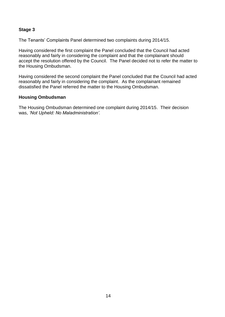#### **Stage 3**

The Tenants' Complaints Panel determined two complaints during 2014/15.

Having considered the first complaint the Panel concluded that the Council had acted reasonably and fairly in considering the complaint and that the complainant should accept the resolution offered by the Council. The Panel decided not to refer the matter to the Housing Ombudsman.

Having considered the second complaint the Panel concluded that the Council had acted reasonably and fairly in considering the complaint. As the complainant remained dissatisfied the Panel referred the matter to the Housing Ombudsman.

#### **Housing Ombudsman**

The Housing Ombudsman determined one complaint during 2014/15. Their decision was, *'Not Upheld: No Maladministration'.*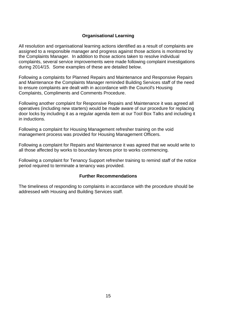#### **Organisational Learning**

All resolution and organisational learning actions identified as a result of complaints are assigned to a responsible manager and progress against those actions is monitored by the Complaints Manager. In addition to those actions taken to resolve individual complaints, several service improvements were made following complaint investigations during 2014/15. Some examples of these are detailed below.

Following a complaints for Planned Repairs and Maintenance and Responsive Repairs and Maintenance the Complaints Manager reminded Building Services staff of the need to ensure complaints are dealt with in accordance with the Council's Housing Complaints, Compliments and Comments Procedure.

Following another complaint for Responsive Repairs and Maintenance it was agreed all operatives (including new starters) would be made aware of our procedure for replacing door locks by including it as a regular agenda item at our Tool Box Talks and including it in inductions.

Following a complaint for Housing Management refresher training on the void management process was provided for Housing Management Officers.

Following a complaint for Repairs and Maintenance it was agreed that we would write to all those affected by works to boundary fences prior to works commencing.

Following a complaint for Tenancy Support refresher training to remind staff of the notice period required to terminate a tenancy was provided.

#### **Further Recommendations**

The timeliness of responding to complaints in accordance with the procedure should be addressed with Housing and Building Services staff.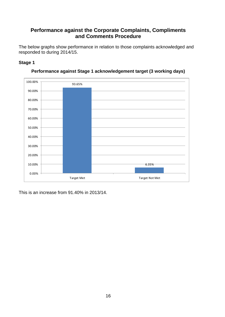# <span id="page-15-0"></span>**Performance against the Corporate Complaints, Compliments and Comments Procedure**

<span id="page-15-1"></span>The below graphs show performance in relation to those complaints acknowledged and responded to during 2014/15.

#### **Stage 1**





This is an increase from 91.40% in 2013/14.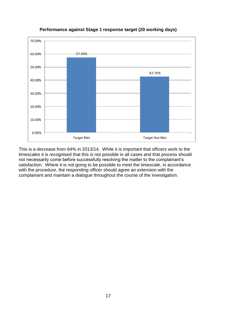

#### **Performance against Stage 1 response target (20 working days)**

This is a decrease from 64% in 2013/14. While it is important that officers work to the timescales it is recognised that this is not possible in all cases and that process should not necessarily come before successfully resolving the matter to the complainant's satisfaction. Where it is not going to be possible to meet the timescale, in accordance with the procedure, the responding officer should agree an extension with the complainant and maintain a dialogue throughout the course of the investigation.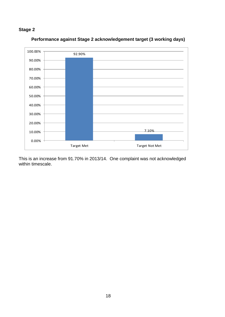# **Stage 2**



**Performance against Stage 2 acknowledgement target (3 working days)**

This is an increase from 91.70% in 2013/14. One complaint was not acknowledged within timescale.